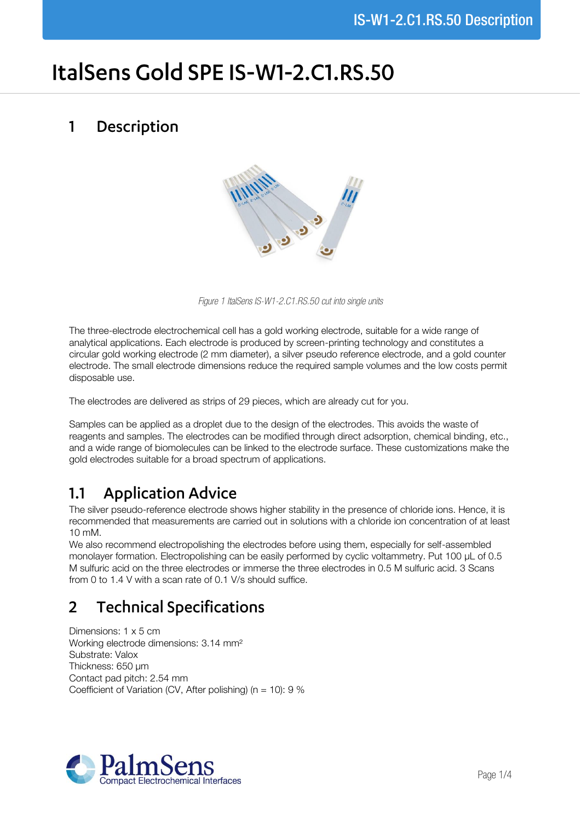# ItalSens Gold SPE IS-W1-2.C1.RS.50

#### Description  $\mathbf{1}$



*Figure 1 ItalSens IS-W1-2.C1.RS.50 cut into single units*

The three-electrode electrochemical cell has a gold working electrode, suitable for a wide range of analytical applications. Each electrode is produced by screen-printing technology and constitutes a circular gold working electrode (2 mm diameter), a silver pseudo reference electrode, and a gold counter electrode. The small electrode dimensions reduce the required sample volumes and the low costs permit disposable use.

The electrodes are delivered as strips of 29 pieces, which are already cut for you.

Samples can be applied as a droplet due to the design of the electrodes. This avoids the waste of reagents and samples. The electrodes can be modified through direct adsorption, chemical binding, etc., and a wide range of biomolecules can be linked to the electrode surface. These customizations make the gold electrodes suitable for a broad spectrum of applications.

# **Application Advice**  $1.1$

The silver pseudo-reference electrode shows higher stability in the presence of chloride ions. Hence, it is recommended that measurements are carried out in solutions with a chloride ion concentration of at least 10 mM.

We also recommend electropolishing the electrodes before using them, especially for self-assembled monolayer formation. Electropolishing can be easily performed by cyclic voltammetry. Put 100 µL of 0.5 M sulfuric acid on the three electrodes or immerse the three electrodes in 0.5 M sulfuric acid. 3 Scans from 0 to 1.4 V with a scan rate of 0.1 V/s should suffice.

# **Technical Specifications**  $\overline{2}$

Dimensions: 1 x 5 cm Working electrode dimensions: 3.14 mm² Substrate: Valox Thickness: 650 µm Contact pad pitch: 2.54 mm Coefficient of Variation (CV, After polishing) (n = 10):  $9\%$ 

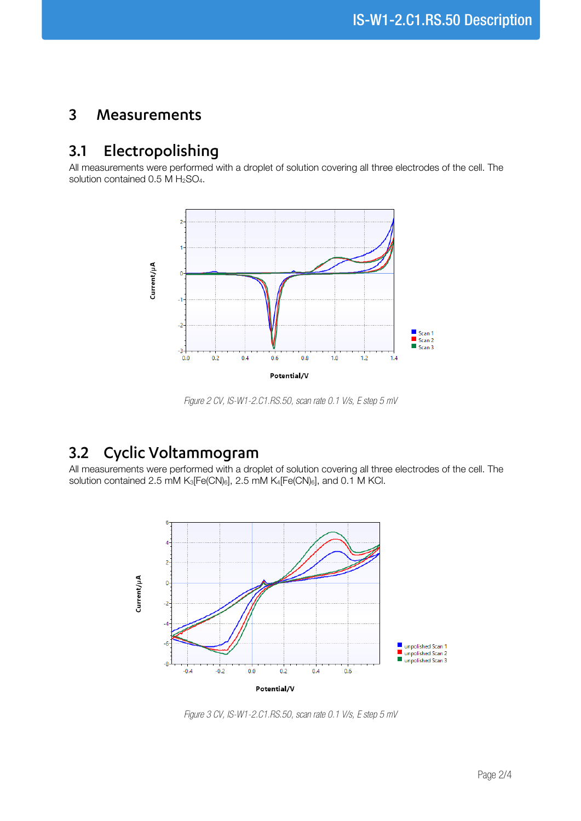#### $\overline{3}$ Measurements

## Electropolishing  $3.1$

All measurements were performed with a droplet of solution covering all three electrodes of the cell. The solution contained  $0.5$  M  $H<sub>2</sub>SO<sub>4</sub>$ .



*Figure 2 CV, IS-W1-2.C1.RS.50, scan rate 0.1 V/s, E step 5 mV*

# Cyclic Voltammogram  $3.2$

All measurements were performed with a droplet of solution covering all three electrodes of the cell. The solution contained 2.5 mM K<sub>3</sub>[Fe(CN)<sub>6</sub>], 2.5 mM K<sub>4</sub>[Fe(CN)<sub>6</sub>], and 0.1 M KCl.



*Figure 3 CV, IS-W1-2.C1.RS.50, scan rate 0.1 V/s, E step 5 mV*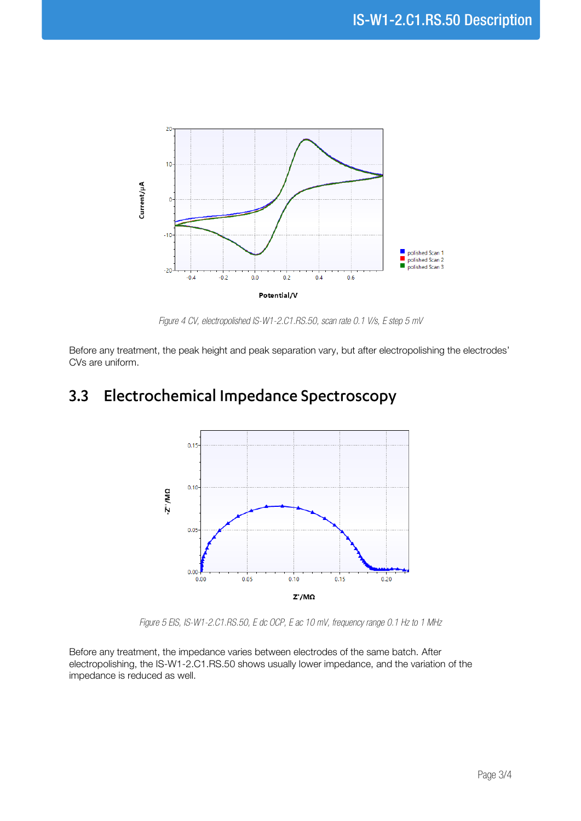

*Figure 4 CV, electropolished IS-W1-2.C1.RS.50, scan rate 0.1 V/s, E step 5 mV*

Before any treatment, the peak height and peak separation vary, but after electropolishing the electrodes' CVs are uniform.

## Electrochemical Impedance Spectroscopy  $3.3$



*Figure 5 EIS, IS-W1-2.C1.RS.50, E dc OCP, E ac 10 mV, frequency range 0.1 Hz to 1 MHz*

Before any treatment, the impedance varies between electrodes of the same batch. After electropolishing, the IS-W1-2.C1.RS.50 shows usually lower impedance, and the variation of the impedance is reduced as well.